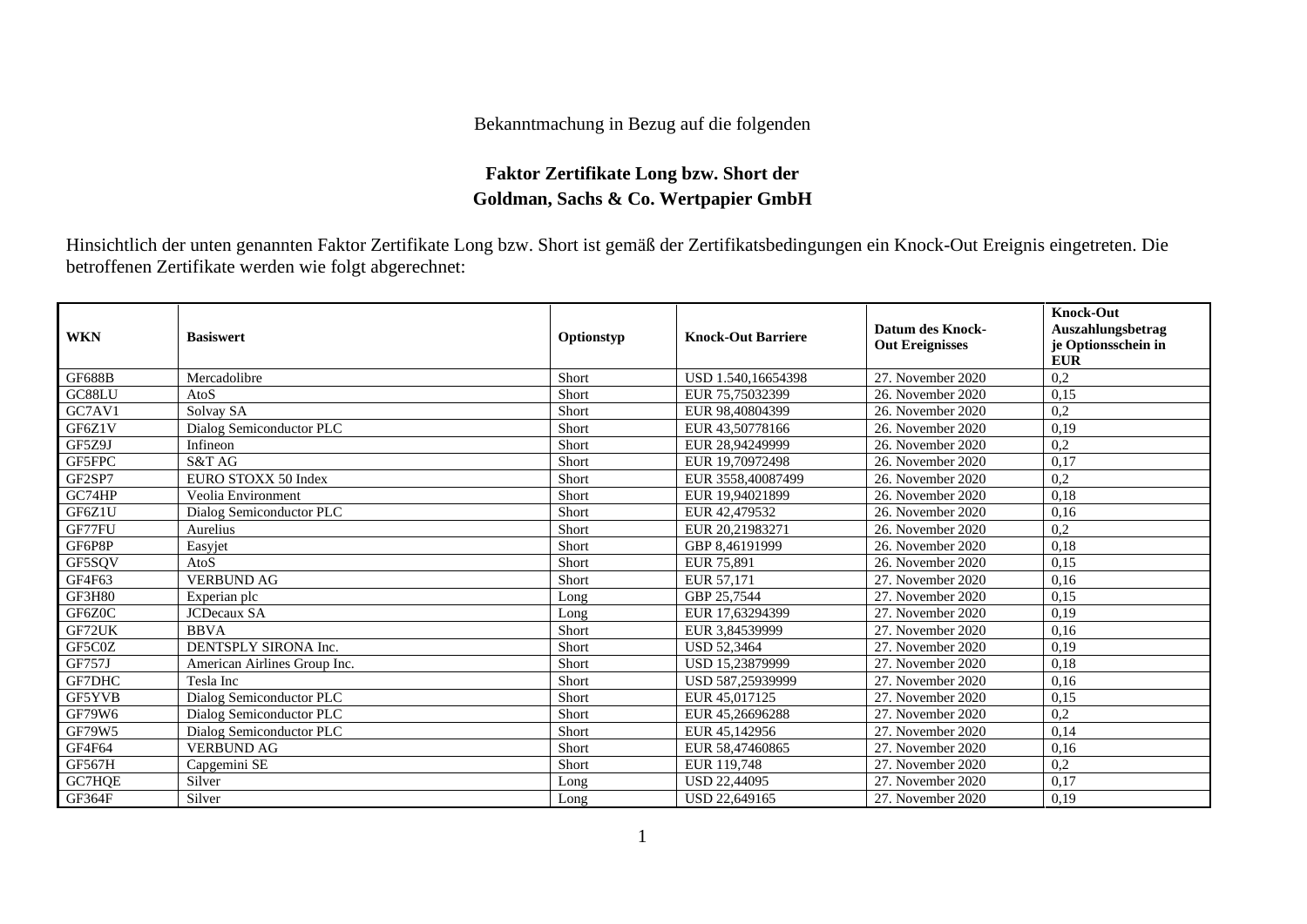## Bekanntmachung in Bezug auf die folgenden

## **Faktor Zertifikate Long bzw. Short der Goldman, Sachs & Co. Wertpapier GmbH**

Hinsichtlich der unten genannten Faktor Zertifikate Long bzw. Short ist gemäß der Zertifikatsbedingungen ein Knock-Out Ereignis eingetreten. Die betroffenen Zertifikate werden wie folgt abgerechnet:

| <b>WKN</b>    | <b>Basiswert</b>             | Optionstyp | <b>Knock-Out Barriere</b> | Datum des Knock-<br><b>Out Ereignisses</b> | <b>Knock-Out</b><br>Auszahlungsbetrag<br>je Optionsschein in<br><b>EUR</b> |
|---------------|------------------------------|------------|---------------------------|--------------------------------------------|----------------------------------------------------------------------------|
| <b>GF688B</b> | Mercadolibre                 | Short      | USD 1.540,16654398        | 27. November 2020                          | 0,2                                                                        |
| GC88LU        | AtoS                         | Short      | EUR 75,75032399           | 26. November 2020                          | 0,15                                                                       |
| GC7AV1        | Solvay SA                    | Short      | EUR 98,40804399           | 26. November 2020                          | 0,2                                                                        |
| GF6Z1V        | Dialog Semiconductor PLC     | Short      | EUR 43,50778166           | 26. November 2020                          | 0,19                                                                       |
| GF5Z9J        | Infineon                     | Short      | EUR 28,94249999           | 26. November 2020                          | 0,2                                                                        |
| GF5FPC        | S&T AG                       | Short      | EUR 19,70972498           | 26. November 2020                          | 0,17                                                                       |
| GF2SP7        | EURO STOXX 50 Index          | Short      | EUR 3558,40087499         | 26. November 2020                          | 0,2                                                                        |
| GC74HP        | Veolia Environment           | Short      | EUR 19,94021899           | 26. November 2020                          | 0.18                                                                       |
| GF6Z1U        | Dialog Semiconductor PLC     | Short      | EUR 42,479532             | 26. November 2020                          | 0,16                                                                       |
| GF77FU        | Aurelius                     | Short      | EUR 20,21983271           | 26. November 2020                          | 0,2                                                                        |
| GF6P8P        | Easyjet                      | Short      | GBP 8,46191999            | 26. November 2020                          | 0,18                                                                       |
| GF5SQV        | AtoS                         | Short      | EUR 75,891                | 26. November 2020                          | 0,15                                                                       |
| GF4F63        | <b>VERBUND AG</b>            | Short      | EUR 57,171                | 27. November 2020                          | 0,16                                                                       |
| <b>GF3H80</b> | Experian plc                 | Long       | GBP 25,7544               | 27. November 2020                          | 0,15                                                                       |
| GF6Z0C        | <b>JCDecaux SA</b>           | Long       | EUR 17,63294399           | 27. November 2020                          | 0,19                                                                       |
| GF72UK        | <b>BBVA</b>                  | Short      | EUR 3.84539999            | 27. November 2020                          | 0,16                                                                       |
| GF5C0Z        | DENTSPLY SIRONA Inc.         | Short      | <b>USD 52,3464</b>        | 27. November 2020                          | 0,19                                                                       |
| <b>GF757J</b> | American Airlines Group Inc. | Short      | USD 15,23879999           | 27. November 2020                          | 0.18                                                                       |
| GF7DHC        | Tesla Inc                    | Short      | USD 587,25939999          | 27. November 2020                          | 0,16                                                                       |
| GF5YVB        | Dialog Semiconductor PLC     | Short      | EUR 45,017125             | 27. November 2020                          | 0,15                                                                       |
| GF79W6        | Dialog Semiconductor PLC     | Short      | EUR 45,26696288           | 27. November 2020                          | 0,2                                                                        |
| GF79W5        | Dialog Semiconductor PLC     | Short      | EUR 45,142956             | 27. November 2020                          | 0,14                                                                       |
| GF4F64        | <b>VERBUND AG</b>            | Short      | EUR 58,47460865           | 27. November 2020                          | 0,16                                                                       |
| <b>GF567H</b> | Capgemini SE                 | Short      | EUR 119,748               | 27. November 2020                          | 0,2                                                                        |
| GC7HQE        | Silver                       | Long       | <b>USD 22,44095</b>       | 27. November 2020                          | 0,17                                                                       |
| GF364F        | Silver                       | Long       | USD 22,649165             | 27. November 2020                          | 0,19                                                                       |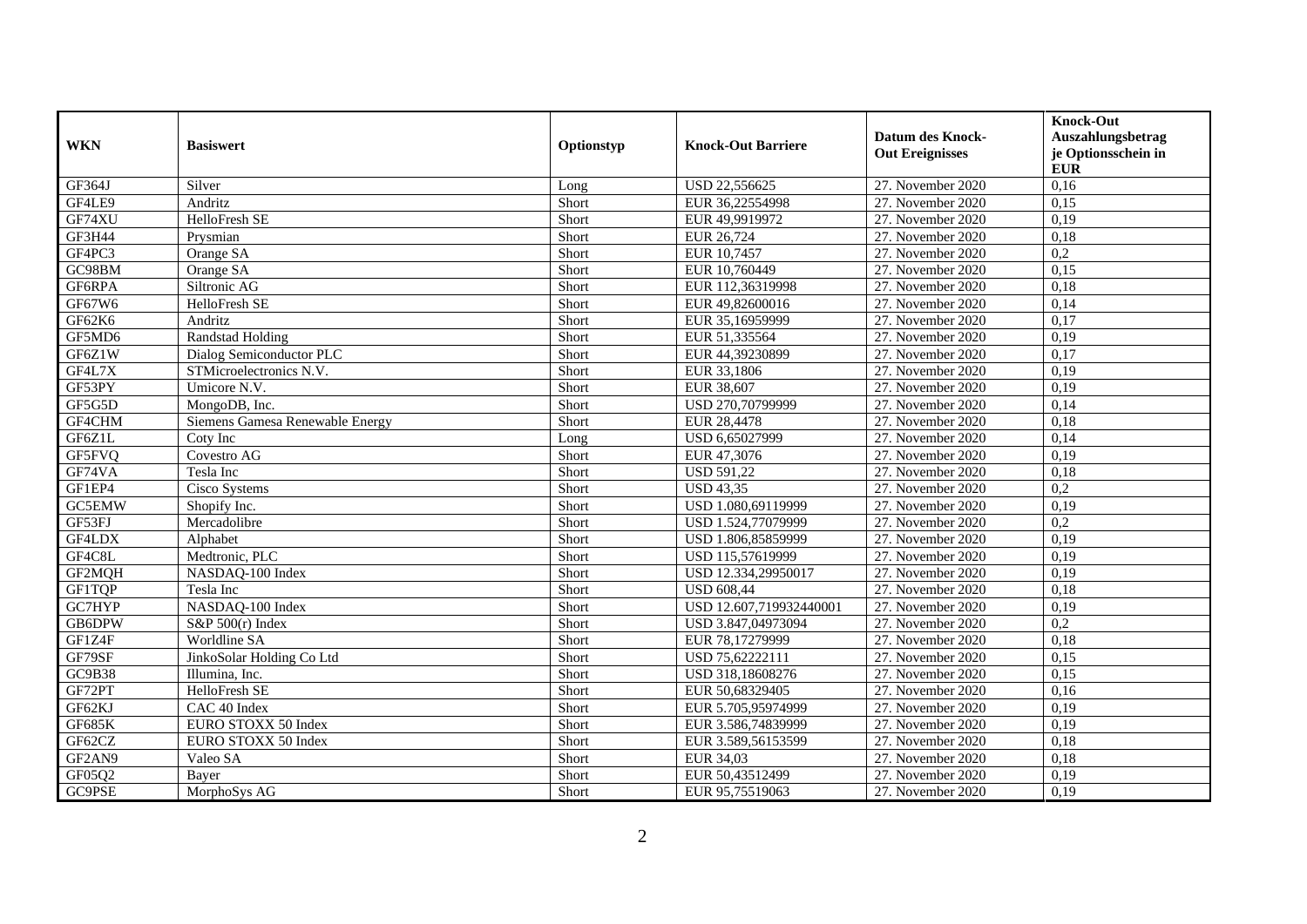| <b>WKN</b>    | <b>Basiswert</b>                | Optionstyp | <b>Knock-Out Barriere</b> | <b>Datum des Knock-</b><br><b>Out Ereignisses</b> | <b>Knock-Out</b><br>Auszahlungsbetrag<br>je Optionsschein in<br><b>EUR</b> |
|---------------|---------------------------------|------------|---------------------------|---------------------------------------------------|----------------------------------------------------------------------------|
| GF364J        | Silver                          | Long       | USD 22,556625             | 27. November 2020                                 | 0,16                                                                       |
| GF4LE9        | <b>Andritz</b>                  | Short      | EUR 36,22554998           | 27. November 2020                                 | 0,15                                                                       |
| GF74XU        | HelloFresh SE                   | Short      | EUR 49,9919972            | 27. November 2020                                 | 0,19                                                                       |
| GF3H44        | Prysmian                        | Short      | EUR 26,724                | 27. November 2020                                 | 0,18                                                                       |
| GF4PC3        | Orange SA                       | Short      | EUR 10,7457               | 27. November 2020                                 | $\overline{0,2}$                                                           |
| GC98BM        | Orange SA                       | Short      | EUR 10,760449             | 27. November 2020                                 | 0,15                                                                       |
| GF6RPA        | Siltronic AG                    | Short      | EUR 112,36319998          | 27. November 2020                                 | 0,18                                                                       |
| GF67W6        | HelloFresh SE                   | Short      | EUR 49,82600016           | 27. November 2020                                 | 0,14                                                                       |
| GF62K6        | Andritz                         | Short      | EUR 35,16959999           | 27. November 2020                                 | 0,17                                                                       |
| GF5MD6        | <b>Randstad Holding</b>         | Short      | EUR 51,335564             | 27. November 2020                                 | 0,19                                                                       |
| GF6Z1W        | Dialog Semiconductor PLC        | Short      | EUR 44,39230899           | 27. November 2020                                 | 0,17                                                                       |
| GF4L7X        | STMicroelectronics N.V.         | Short      | EUR 33.1806               | 27. November 2020                                 | 0.19                                                                       |
| GF53PY        | Umicore N.V.                    | Short      | EUR 38,607                | 27. November 2020                                 | 0,19                                                                       |
| GF5G5D        | MongoDB, Inc.                   | Short      | USD 270,70799999          | 27. November 2020                                 | 0,14                                                                       |
| GF4CHM        | Siemens Gamesa Renewable Energy | Short      | EUR 28,4478               | 27. November 2020                                 | 0,18                                                                       |
| GF6Z1L        | Coty Inc                        | Long       | USD 6,65027999            | 27. November 2020                                 | 0,14                                                                       |
| GF5FVQ        | Covestro AG                     | Short      | EUR 47,3076               | 27. November 2020                                 | 0,19                                                                       |
| GF74VA        | Tesla Inc                       | Short      | <b>USD 591,22</b>         | 27. November 2020                                 | 0,18                                                                       |
| GF1EP4        | <b>Cisco Systems</b>            | Short      | <b>USD 43,35</b>          | 27. November 2020                                 | 0,2                                                                        |
| GC5EMW        | Shopify Inc.                    | Short      | USD 1.080,69119999        | 27. November 2020                                 | 0,19                                                                       |
| GF53FJ        | Mercadolibre                    | Short      | USD 1.524,77079999        | 27. November 2020                                 | 0,2                                                                        |
| GF4LDX        | Alphabet                        | Short      | USD 1.806,85859999        | 27. November 2020                                 | 0,19                                                                       |
| GF4C8L        | Medtronic, PLC                  | Short      | USD 115,57619999          | 27. November 2020                                 | 0,19                                                                       |
| GF2MQH        | NASDAQ-100 Index                | Short      | USD 12.334,29950017       | 27. November 2020                                 | 0,19                                                                       |
| GF1TQP        | Tesla Inc                       | Short      | <b>USD 608,44</b>         | 27. November 2020                                 | 0,18                                                                       |
| GC7HYP        | NASDAQ-100 Index                | Short      | USD 12.607,719932440001   | 27. November 2020                                 | 0,19                                                                       |
| GB6DPW        | $S\&P 500(r)$ Index             | Short      | USD 3.847,04973094        | 27. November 2020                                 | 0,2                                                                        |
| GF1Z4F        | Worldline SA                    | Short      | EUR 78,17279999           | 27. November 2020                                 | 0,18                                                                       |
| GF79SF        | JinkoSolar Holding Co Ltd       | Short      | USD 75,62222111           | 27. November 2020                                 | 0,15                                                                       |
| GC9B38        | Illumina, Inc.                  | Short      | USD 318,18608276          | 27. November 2020                                 | 0,15                                                                       |
| GF72PT        | HelloFresh SE                   | Short      | EUR 50,68329405           | 27. November 2020                                 | 0,16                                                                       |
| GF62KJ        | CAC 40 Index                    | Short      | EUR 5.705,95974999        | 27. November 2020                                 | 0,19                                                                       |
| <b>GF685K</b> | EURO STOXX 50 Index             | Short      | EUR 3.586,74839999        | 27. November 2020                                 | 0,19                                                                       |
| GF62CZ        | EURO STOXX 50 Index             | Short      | EUR 3.589,56153599        | 27. November 2020                                 | 0,18                                                                       |
| GF2AN9        | Valeo SA                        | Short      | EUR 34,03                 | 27. November 2020                                 | 0,18                                                                       |
| GF05Q2        | Bayer                           | Short      | EUR 50,43512499           | 27. November 2020                                 | 0,19                                                                       |
| GC9PSE        | MorphoSys AG                    | Short      | EUR 95,75519063           | 27. November 2020                                 | 0,19                                                                       |